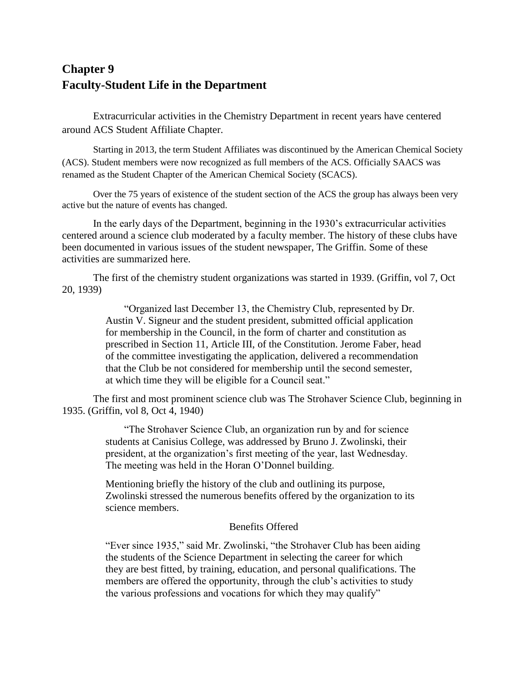# **Chapter 9 Faculty-Student Life in the Department**

Extracurricular activities in the Chemistry Department in recent years have centered around ACS Student Affiliate Chapter.

Starting in 2013, the term Student Affiliates was discontinued by the American Chemical Society (ACS). Student members were now recognized as full members of the ACS. Officially SAACS was renamed as the Student Chapter of the American Chemical Society (SCACS).

Over the 75 years of existence of the student section of the ACS the group has always been very active but the nature of events has changed.

In the early days of the Department, beginning in the 1930's extracurricular activities centered around a science club moderated by a faculty member. The history of these clubs have been documented in various issues of the student newspaper, The Griffin. Some of these activities are summarized here.

The first of the chemistry student organizations was started in 1939. (Griffin, vol 7, Oct 20, 1939)

> "Organized last December 13, the Chemistry Club, represented by Dr. Austin V. Signeur and the student president, submitted official application for membership in the Council, in the form of charter and constitution as prescribed in Section 11, Article III, of the Constitution. Jerome Faber, head of the committee investigating the application, delivered a recommendation that the Club be not considered for membership until the second semester, at which time they will be eligible for a Council seat."

The first and most prominent science club was The Strohaver Science Club, beginning in 1935. (Griffin, vol 8, Oct 4, 1940)

> "The Strohaver Science Club, an organization run by and for science students at Canisius College, was addressed by Bruno J. Zwolinski, their president, at the organization's first meeting of the year, last Wednesday. The meeting was held in the Horan O'Donnel building.

Mentioning briefly the history of the club and outlining its purpose, Zwolinski stressed the numerous benefits offered by the organization to its science members.

### Benefits Offered

"Ever since 1935," said Mr. Zwolinski, "the Strohaver Club has been aiding the students of the Science Department in selecting the career for which they are best fitted, by training, education, and personal qualifications. The members are offered the opportunity, through the club's activities to study the various professions and vocations for which they may qualify"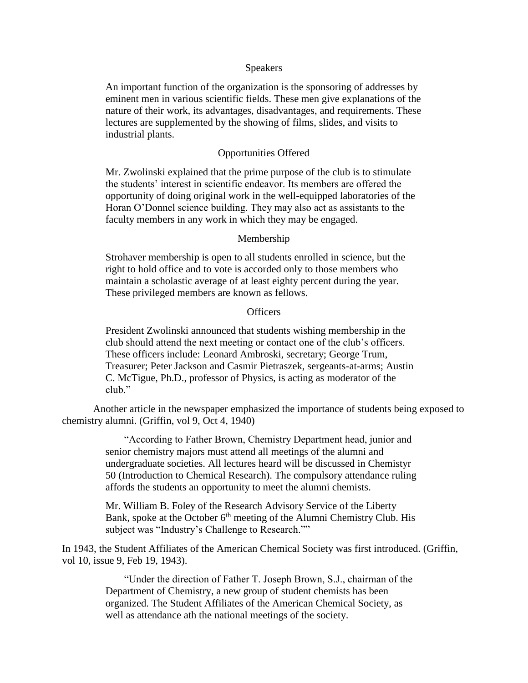#### **Speakers**

An important function of the organization is the sponsoring of addresses by eminent men in various scientific fields. These men give explanations of the nature of their work, its advantages, disadvantages, and requirements. These lectures are supplemented by the showing of films, slides, and visits to industrial plants.

### Opportunities Offered

Mr. Zwolinski explained that the prime purpose of the club is to stimulate the students' interest in scientific endeavor. Its members are offered the opportunity of doing original work in the well-equipped laboratories of the Horan O'Donnel science building. They may also act as assistants to the faculty members in any work in which they may be engaged.

#### Membership

Strohaver membership is open to all students enrolled in science, but the right to hold office and to vote is accorded only to those members who maintain a scholastic average of at least eighty percent during the year. These privileged members are known as fellows.

#### **Officers**

President Zwolinski announced that students wishing membership in the club should attend the next meeting or contact one of the club's officers. These officers include: Leonard Ambroski, secretary; George Trum, Treasurer; Peter Jackson and Casmir Pietraszek, sergeants-at-arms; Austin C. McTigue, Ph.D., professor of Physics, is acting as moderator of the club."

Another article in the newspaper emphasized the importance of students being exposed to chemistry alumni. (Griffin, vol 9, Oct 4, 1940)

> "According to Father Brown, Chemistry Department head, junior and senior chemistry majors must attend all meetings of the alumni and undergraduate societies. All lectures heard will be discussed in Chemistyr 50 (Introduction to Chemical Research). The compulsory attendance ruling affords the students an opportunity to meet the alumni chemists.

> Mr. William B. Foley of the Research Advisory Service of the Liberty Bank, spoke at the October  $6<sup>th</sup>$  meeting of the Alumni Chemistry Club. His subject was "Industry's Challenge to Research.""

In 1943, the Student Affiliates of the American Chemical Society was first introduced. (Griffin, vol 10, issue 9, Feb 19, 1943).

> "Under the direction of Father T. Joseph Brown, S.J., chairman of the Department of Chemistry, a new group of student chemists has been organized. The Student Affiliates of the American Chemical Society, as well as attendance ath the national meetings of the society.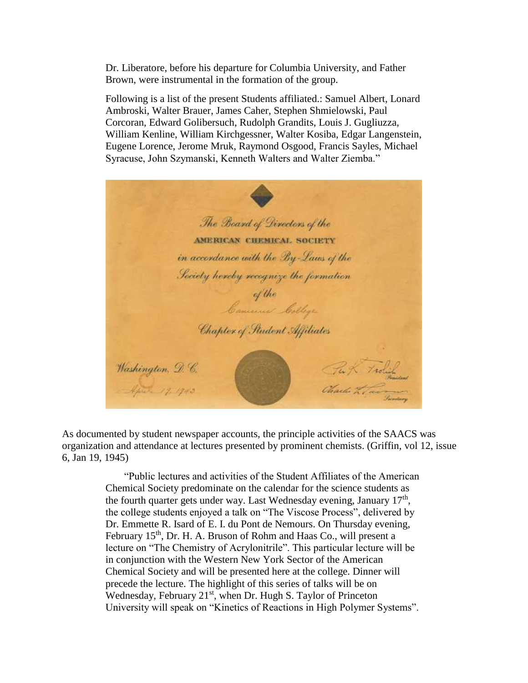Dr. Liberatore, before his departure for Columbia University, and Father Brown, were instrumental in the formation of the group.

Following is a list of the present Students affiliated.: Samuel Albert, Lonard Ambroski, Walter Brauer, James Caher, Stephen Shmielowski, Paul Corcoran, Edward Golibersuch, Rudolph Grandits, Louis J. Gugliuzza, William Kenline, William Kirchgessner, Walter Kosiba, Edgar Langenstein, Eugene Lorence, Jerome Mruk, Raymond Osgood, Francis Sayles, Michael Syracuse, John Szymanski, Kenneth Walters and Walter Ziemba."

The Board of Directors of the AMERICAN CHEMICAL SOCIETY in accordance with the By-Laws of the Society hereby recognize the formation of the<br>Cancer bothys Chapter of Student Affiliates Washington, D. C. Tex K Trolich Charles to Tax April 19, 1943

As documented by student newspaper accounts, the principle activities of the SAACS was organization and attendance at lectures presented by prominent chemists. (Griffin, vol 12, issue 6, Jan 19, 1945)

> "Public lectures and activities of the Student Affiliates of the American Chemical Society predominate on the calendar for the science students as the fourth quarter gets under way. Last Wednesday evening, January  $17<sup>th</sup>$ , the college students enjoyed a talk on "The Viscose Process", delivered by Dr. Emmette R. Isard of E. I. du Pont de Nemours. On Thursday evening, February 15<sup>th</sup>, Dr. H. A. Bruson of Rohm and Haas Co., will present a lecture on "The Chemistry of Acrylonitrile". This particular lecture will be in conjunction with the Western New York Sector of the American Chemical Society and will be presented here at the college. Dinner will precede the lecture. The highlight of this series of talks will be on Wednesday, February 21<sup>st</sup>, when Dr. Hugh S. Taylor of Princeton University will speak on "Kinetics of Reactions in High Polymer Systems".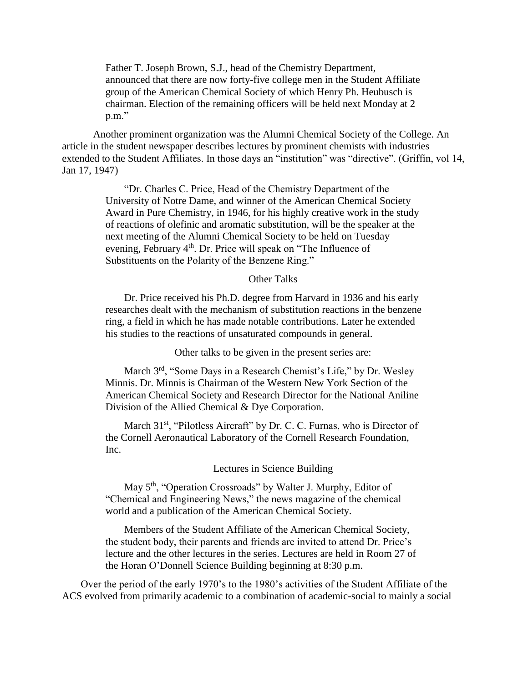Father T. Joseph Brown, S.J., head of the Chemistry Department, announced that there are now forty-five college men in the Student Affiliate group of the American Chemical Society of which Henry Ph. Heubusch is chairman. Election of the remaining officers will be held next Monday at 2 p.m."

Another prominent organization was the Alumni Chemical Society of the College. An article in the student newspaper describes lectures by prominent chemists with industries extended to the Student Affiliates. In those days an "institution" was "directive". (Griffin, vol 14, Jan 17, 1947)

> "Dr. Charles C. Price, Head of the Chemistry Department of the University of Notre Dame, and winner of the American Chemical Society Award in Pure Chemistry, in 1946, for his highly creative work in the study of reactions of olefinic and aromatic substitution, will be the speaker at the next meeting of the Alumni Chemical Society to be held on Tuesday evening, February 4<sup>th</sup>. Dr. Price will speak on "The Influence of Substituents on the Polarity of the Benzene Ring."

### Other Talks

Dr. Price received his Ph.D. degree from Harvard in 1936 and his early researches dealt with the mechanism of substitution reactions in the benzene ring, a field in which he has made notable contributions. Later he extended his studies to the reactions of unsaturated compounds in general.

Other talks to be given in the present series are:

March 3rd, "Some Days in a Research Chemist's Life," by Dr. Wesley Minnis. Dr. Minnis is Chairman of the Western New York Section of the American Chemical Society and Research Director for the National Aniline Division of the Allied Chemical & Dye Corporation.

March 31<sup>st</sup>, "Pilotless Aircraft" by Dr. C. C. Furnas, who is Director of the Cornell Aeronautical Laboratory of the Cornell Research Foundation, Inc.

Lectures in Science Building

May 5<sup>th</sup>, "Operation Crossroads" by Walter J. Murphy, Editor of "Chemical and Engineering News," the news magazine of the chemical world and a publication of the American Chemical Society.

Members of the Student Affiliate of the American Chemical Society, the student body, their parents and friends are invited to attend Dr. Price's lecture and the other lectures in the series. Lectures are held in Room 27 of the Horan O'Donnell Science Building beginning at 8:30 p.m.

Over the period of the early 1970's to the 1980's activities of the Student Affiliate of the ACS evolved from primarily academic to a combination of academic-social to mainly a social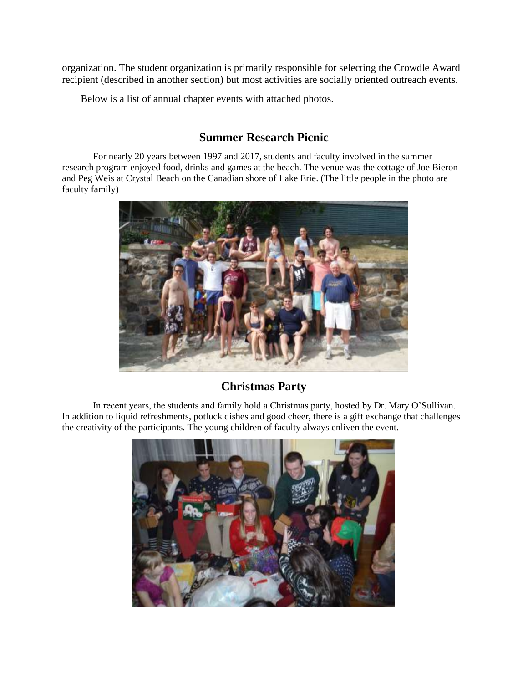organization. The student organization is primarily responsible for selecting the Crowdle Award recipient (described in another section) but most activities are socially oriented outreach events.

Below is a list of annual chapter events with attached photos.

### **Summer Research Picnic**

For nearly 20 years between 1997 and 2017, students and faculty involved in the summer research program enjoyed food, drinks and games at the beach. The venue was the cottage of Joe Bieron and Peg Weis at Crystal Beach on the Canadian shore of Lake Erie. (The little people in the photo are faculty family)



## **Christmas Party**

In recent years, the students and family hold a Christmas party, hosted by Dr. Mary O'Sullivan. In addition to liquid refreshments, potluck dishes and good cheer, there is a gift exchange that challenges the creativity of the participants. The young children of faculty always enliven the event.

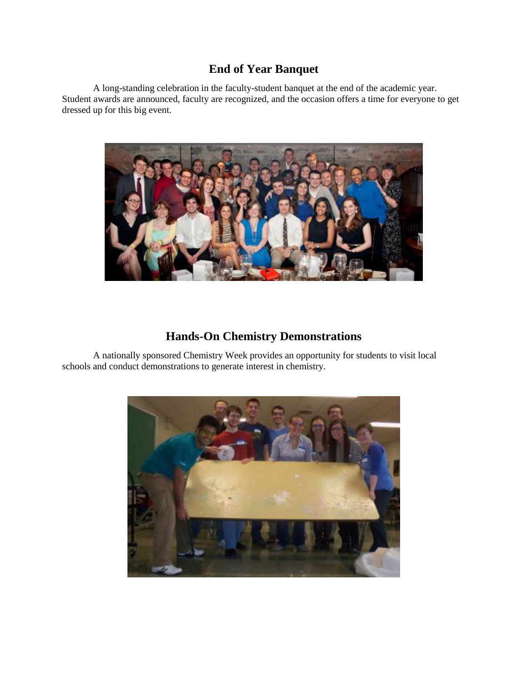## **End of Year Banquet**

A long-standing celebration in the faculty-student banquet at the end of the academic year. Student awards are announced, faculty are recognized, and the occasion offers a time for everyone to get dressed up for this big event.



## **Hands-On Chemistry Demonstrations**

A nationally sponsored Chemistry Week provides an opportunity for students to visit local schools and conduct demonstrations to generate interest in chemistry.

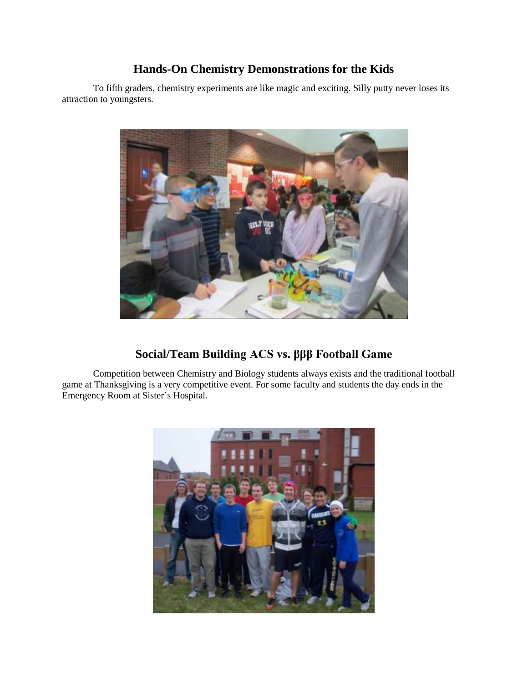### **Hands-On Chemistry Demonstrations for the Kids**

To fifth graders, chemistry experiments are like magic and exciting. Silly putty never loses its attraction to youngsters.



## **Social/Team Building ACS vs. βββ Football Game**

Competition between Chemistry and Biology students always exists and the traditional football game at Thanksgiving is a very competitive event. For some faculty and students the day ends in the Emergency Room at Sister's Hospital.

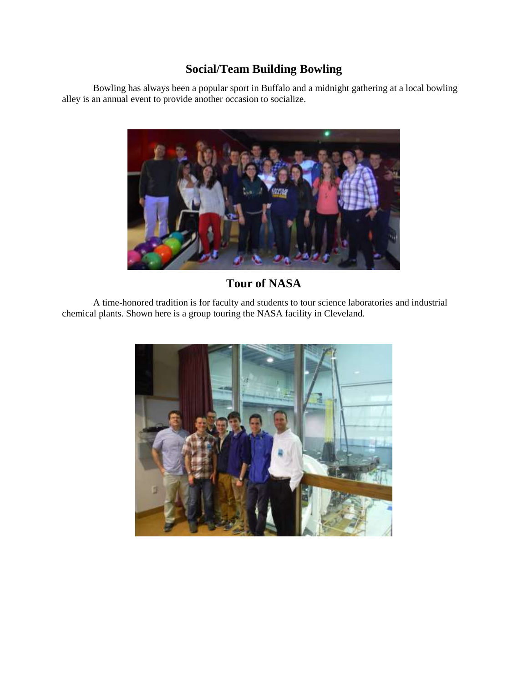# **Social/Team Building Bowling**

Bowling has always been a popular sport in Buffalo and a midnight gathering at a local bowling alley is an annual event to provide another occasion to socialize.



# **Tour of NASA**

A time-honored tradition is for faculty and students to tour science laboratories and industrial chemical plants. Shown here is a group touring the NASA facility in Cleveland.

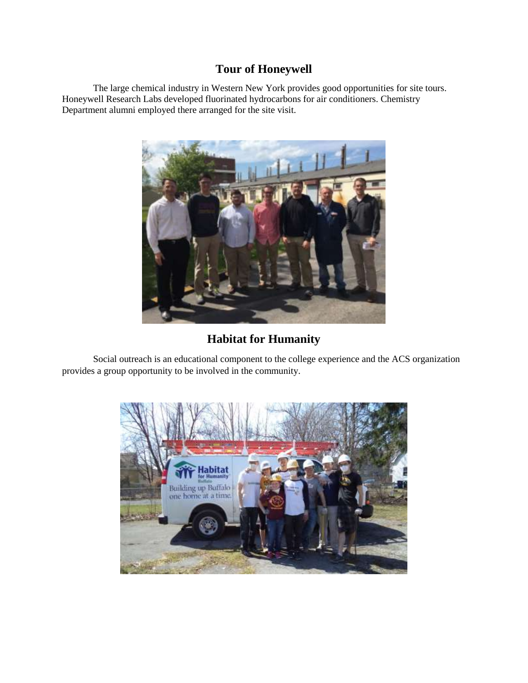## **Tour of Honeywell**

The large chemical industry in Western New York provides good opportunities for site tours. Honeywell Research Labs developed fluorinated hydrocarbons for air conditioners. Chemistry Department alumni employed there arranged for the site visit.



**Habitat for Humanity**

Social outreach is an educational component to the college experience and the ACS organization provides a group opportunity to be involved in the community.

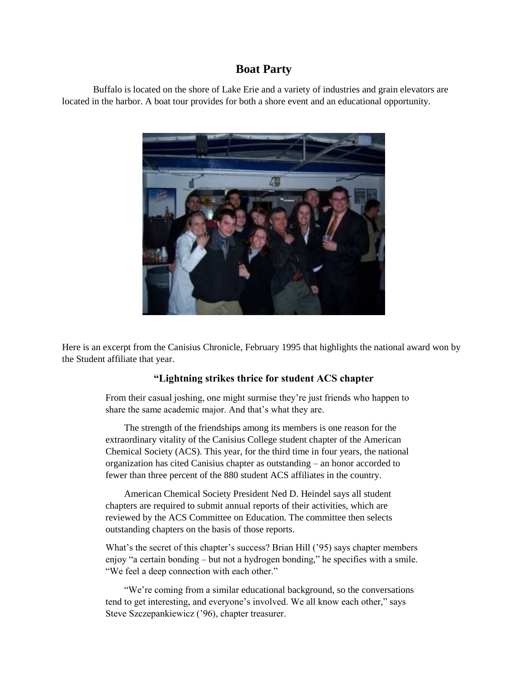### **Boat Party**

Buffalo is located on the shore of Lake Erie and a variety of industries and grain elevators are located in the harbor. A boat tour provides for both a shore event and an educational opportunity.



Here is an excerpt from the Canisius Chronicle, February 1995 that highlights the national award won by the Student affiliate that year.

### **"Lightning strikes thrice for student ACS chapter**

From their casual joshing, one might surmise they're just friends who happen to share the same academic major. And that's what they are.

The strength of the friendships among its members is one reason for the extraordinary vitality of the Canisius College student chapter of the American Chemical Society (ACS). This year, for the third time in four years, the national organization has cited Canisius chapter as outstanding – an honor accorded to fewer than three percent of the 880 student ACS affiliates in the country.

American Chemical Society President Ned D. Heindel says all student chapters are required to submit annual reports of their activities, which are reviewed by the ACS Committee on Education. The committee then selects outstanding chapters on the basis of those reports.

What's the secret of this chapter's success? Brian Hill ('95) says chapter members enjoy "a certain bonding – but not a hydrogen bonding," he specifies with a smile. "We feel a deep connection with each other."

"We're coming from a similar educational background, so the conversations tend to get interesting, and everyone's involved. We all know each other," says Steve Szczepankiewicz ('96), chapter treasurer.